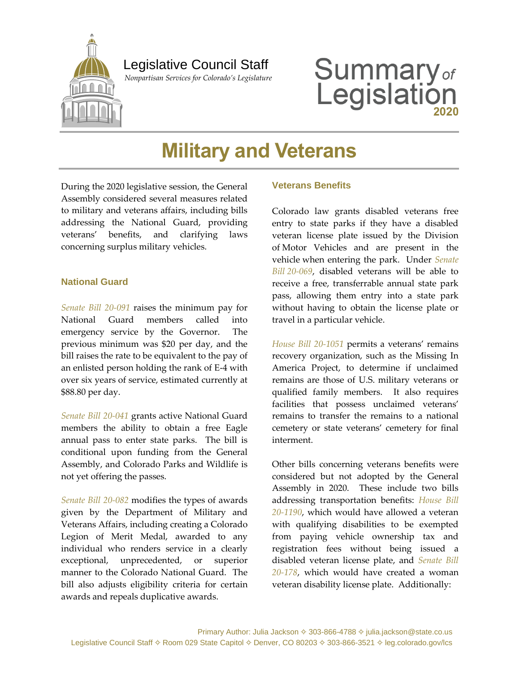

## Legislative Council Staff

 *Nonpartisan Services for Colorado's Legislature*

# **Summary**<sub>of</sub><br>Legislation

# **Military and Veterans**

During the 2020 legislative session, the General Assembly considered several measures related to military and veterans affairs, including bills addressing the National Guard, providing veterans' benefits, and clarifying laws concerning surplus military vehicles.

#### **National Guard**

*[Senate Bill 20-091](http://leg.colorado.gov/bills/sb20-091)* raises the minimum pay for National Guard members called into emergency service by the Governor. The previous minimum was \$20 per day, and the bill raises the rate to be equivalent to the pay of an enlisted person holding the rank of E-4 with over six years of service, estimated currently at \$88.80 per day.

*[Senate Bill 20-041](http://leg.colorado.gov/bills/sb20-041)* grants active National Guard members the ability to obtain a free Eagle annual pass to enter state parks. The bill is conditional upon funding from the General Assembly, and Colorado Parks and Wildlife is not yet offering the passes.

*[Senate Bill 20-082](http://leg.colorado.gov/bills/sb20-082)* modifies the types of awards given by the Department of Military and Veterans Affairs, including creating a Colorado Legion of Merit Medal, awarded to any individual who renders service in a clearly exceptional, unprecedented, or superior manner to the Colorado National Guard. The bill also adjusts eligibility criteria for certain awards and repeals duplicative awards.

#### **Veterans Benefits**

Colorado law grants disabled veterans free entry to state parks if they have a disabled veteran license plate issued by the Division of Motor Vehicles and are present in the vehicle when entering the park. Under *[Senate](http://leg.colorado.gov/bills/sb20-069)  Bill [20-069](http://leg.colorado.gov/bills/sb20-069)*, disabled veterans will be able to receive a free, transferrable annual state park pass, allowing them entry into a state park without having to obtain the license plate or travel in a particular vehicle.

*[House Bill 20-1051](http://leg.colorado.gov/bills/hb20-1051)* permits a veterans' remains recovery organization, such as the Missing In America Project, to determine if unclaimed remains are those of U.S. military veterans or qualified family members. It also requires facilities that possess unclaimed veterans' remains to transfer the remains to a national cemetery or state veterans' cemetery for final interment.

Other bills concerning veterans benefits were considered but not adopted by the General Assembly in 2020. These include two bills addressing transportation benefits: *[House Bill](http://leg.colorado.gov/bills/hb20-1190)  [20-1190](http://leg.colorado.gov/bills/hb20-1190)*, which would have allowed a veteran with qualifying disabilities to be exempted from paying vehicle ownership tax and registration fees without being issued a disabled veteran license plate, and *[Senate Bill](http://leg.colorado.gov/bills/sb20-178)  [20-178](http://leg.colorado.gov/bills/sb20-178)*, which would have created a woman veteran disability license plate. Additionally: